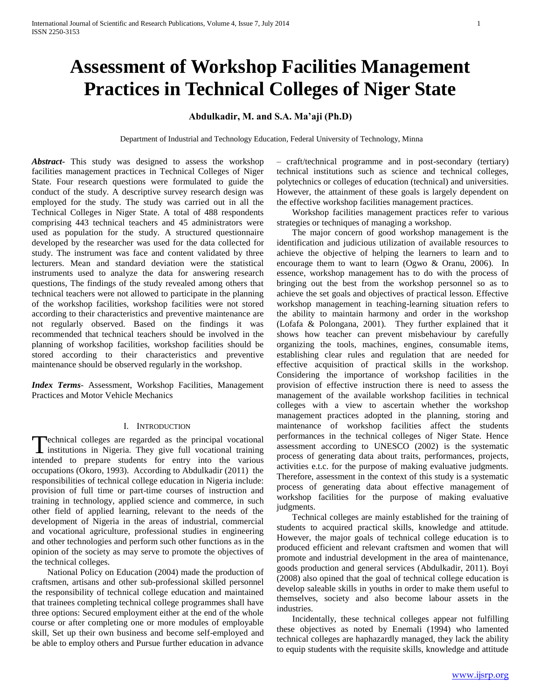# **Assessment of Workshop Facilities Management Practices in Technical Colleges of Niger State**

## **Abdulkadir, M. and S.A. Ma'aji (Ph.D)**

Department of Industrial and Technology Education, Federal University of Technology, Minna

*Abstract***-** This study was designed to assess the workshop facilities management practices in Technical Colleges of Niger State. Four research questions were formulated to guide the conduct of the study. A descriptive survey research design was employed for the study. The study was carried out in all the Technical Colleges in Niger State. A total of 488 respondents comprising 443 technical teachers and 45 administrators were used as population for the study. A structured questionnaire developed by the researcher was used for the data collected for study. The instrument was face and content validated by three lecturers. Mean and standard deviation were the statistical instruments used to analyze the data for answering research questions, The findings of the study revealed among others that technical teachers were not allowed to participate in the planning of the workshop facilities, workshop facilities were not stored according to their characteristics and preventive maintenance are not regularly observed. Based on the findings it was recommended that technical teachers should be involved in the planning of workshop facilities, workshop facilities should be stored according to their characteristics and preventive maintenance should be observed regularly in the workshop.

*Index Terms*- Assessment, Workshop Facilities, Management Practices and Motor Vehicle Mechanics

#### I. INTRODUCTION

echnical colleges are regarded as the principal vocational Technical colleges are regarded as the principal vocational training<br>institutions in Nigeria. They give full vocational training intended to prepare students for entry into the various occupations (Okoro, 1993). According to Abdulkadir (2011) the responsibilities of technical college education in Nigeria include: provision of full time or part-time courses of instruction and training in technology, applied science and commerce, in such other field of applied learning, relevant to the needs of the development of Nigeria in the areas of industrial, commercial and vocational agriculture, professional studies in engineering and other technologies and perform such other functions as in the opinion of the society as may serve to promote the objectives of the technical colleges.

 National Policy on Education (2004) made the production of craftsmen, artisans and other sub-professional skilled personnel the responsibility of technical college education and maintained that trainees completing technical college programmes shall have three options: Secured employment either at the end of the whole course or after completing one or more modules of employable skill, Set up their own business and become self-employed and be able to employ others and Pursue further education in advance – craft/technical programme and in post-secondary (tertiary) technical institutions such as science and technical colleges, polytechnics or colleges of education (technical) and universities. However, the attainment of these goals is largely dependent on the effective workshop facilities management practices.

 Workshop facilities management practices refer to various strategies or techniques of managing a workshop.

 The major concern of good workshop management is the identification and judicious utilization of available resources to achieve the objective of helping the learners to learn and to encourage them to want to learn (Ogwo & Oranu, 2006). In essence, workshop management has to do with the process of bringing out the best from the workshop personnel so as to achieve the set goals and objectives of practical lesson. Effective workshop management in teaching-learning situation refers to the ability to maintain harmony and order in the workshop (Lofafa & Polongana, 2001). They further explained that it shows how teacher can prevent misbehaviour by carefully organizing the tools, machines, engines, consumable items, establishing clear rules and regulation that are needed for effective acquisition of practical skills in the workshop. Considering the importance of workshop facilities in the provision of effective instruction there is need to assess the management of the available workshop facilities in technical colleges with a view to ascertain whether the workshop management practices adopted in the planning, storing and maintenance of workshop facilities affect the students performances in the technical colleges of Niger State. Hence assessment according to UNESCO (2002) is the systematic process of generating data about traits, performances, projects, activities e.t.c. for the purpose of making evaluative judgments. Therefore, assessment in the context of this study is a systematic process of generating data about effective management of workshop facilities for the purpose of making evaluative judgments.

 Technical colleges are mainly established for the training of students to acquired practical skills, knowledge and attitude. However, the major goals of technical college education is to produced efficient and relevant craftsmen and women that will promote and industrial development in the area of maintenance, goods production and general services (Abdulkadir, 2011). Boyi (2008) also opined that the goal of technical college education is develop saleable skills in youths in order to make them useful to themselves, society and also become labour assets in the industries.

 Incidentally, these technical colleges appear not fulfilling these objectives as noted by Enemali (1994) who lamented technical colleges are haphazardly managed, they lack the ability to equip students with the requisite skills, knowledge and attitude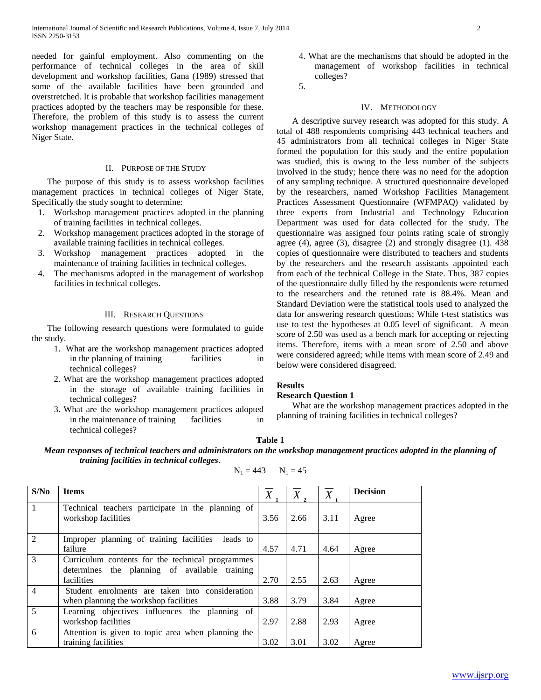needed for gainful employment. Also commenting on the performance of technical colleges in the area of skill development and workshop facilities, Gana (1989) stressed that some of the available facilities have been grounded and overstretched. It is probable that workshop facilities management practices adopted by the teachers may be responsible for these. Therefore, the problem of this study is to assess the current workshop management practices in the technical colleges of Niger State.

#### II. PURPOSE OF THE STUDY

 The purpose of this study is to assess workshop facilities management practices in technical colleges of Niger State, Specifically the study sought to determine:

- 1. Workshop management practices adopted in the planning of training facilities in technical colleges.
- 2. Workshop management practices adopted in the storage of available training facilities in technical colleges.
- 3. Workshop management practices adopted in the maintenance of training facilities in technical colleges.
- 4. The mechanisms adopted in the management of workshop facilities in technical colleges.

## III. RESEARCH QUESTIONS

 The following research questions were formulated to guide the study.

- 1. What are the workshop management practices adopted in the planning of training facilities in technical colleges?
- 2. What are the workshop management practices adopted in the storage of available training facilities in technical colleges?
- 3. What are the workshop management practices adopted in the maintenance of training facilities in technical colleges?
- 4. What are the mechanisms that should be adopted in the management of workshop facilities in technical colleges?
- 5.

### IV. METHODOLOGY

 A descriptive survey research was adopted for this study. A total of 488 respondents comprising 443 technical teachers and 45 administrators from all technical colleges in Niger State formed the population for this study and the entire population was studied, this is owing to the less number of the subjects involved in the study; hence there was no need for the adoption of any sampling technique. A structured questionnaire developed by the researchers, named Workshop Facilities Management Practices Assessment Questionnaire (WFMPAQ) validated by three experts from Industrial and Technology Education Department was used for data collected for the study. The questionnaire was assigned four points rating scale of strongly agree (4), agree (3), disagree (2) and strongly disagree (1). 438 copies of questionnaire were distributed to teachers and students by the researchers and the research assistants appointed each from each of the technical College in the State. Thus, 387 copies of the questionnaire dully filled by the respondents were returned to the researchers and the retuned rate is 88.4%. Mean and Standard Deviation were the statistical tools used to analyzed the data for answering research questions; While t-test statistics was use to test the hypotheses at 0.05 level of significant. A mean score of 2.50 was used as a bench mark for accepting or rejecting items. Therefore, items with a mean score of 2.50 and above were considered agreed; while items with mean score of 2.49 and below were considered disagreed.

#### **Results**

#### **Research Question 1**

 What are the workshop management practices adopted in the planning of training facilities in technical colleges?

#### **Table 1**

*Mean responses of technical teachers and administrators on the workshop management practices adopted in the planning of training facilities in technical colleges*.

$$
N_1 = 443 \qquad N_1 = 45
$$

| S/No                        | <b>Items</b>                                                                                      | X    | X,   | $\boldsymbol{X}$ | <b>Decision</b> |
|-----------------------------|---------------------------------------------------------------------------------------------------|------|------|------------------|-----------------|
| $\mathbf{1}$                | Technical teachers participate in the planning of<br>workshop facilities                          | 3.56 | 2.66 | 3.11             | Agree           |
| $\mathcal{D}_{\mathcal{L}}$ | Improper planning of training facilities<br>leads to<br>failure                                   | 4.57 | 4.71 | 4.64             | Agree           |
| 3                           | Curriculum contents for the technical programmes<br>determines the planning of available training |      |      |                  |                 |
|                             | facilities                                                                                        | 2.70 | 2.55 | 2.63             | Agree           |
| $\overline{4}$              | Student enrolments are taken into consideration                                                   |      |      |                  |                 |
|                             | when planning the workshop facilities                                                             | 3.88 | 3.79 | 3.84             | Agree           |
| $\overline{5}$              | Learning objectives influences the planning of                                                    |      |      |                  |                 |
|                             | workshop facilities                                                                               | 2.97 | 2.88 | 2.93             | Agree           |
| 6                           | Attention is given to topic area when planning the                                                |      |      |                  |                 |
|                             | training facilities                                                                               | 3.02 | 3.01 | 3.02             | Agree           |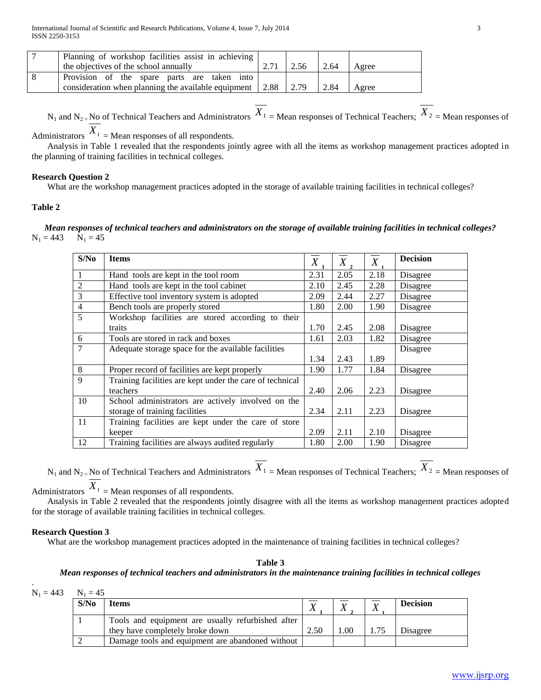| Planning of workshop facilities assist in achieving              |       |      |       |
|------------------------------------------------------------------|-------|------|-------|
| the objectives of the school annually                            | 2.56  | 2.64 | Agree |
| Provision of the spare parts are taken into                      |       |      |       |
| consideration when planning the available equipment $\vert$ 2.88 | 12.79 | 2.84 | Agree |

 $N_1$  and  $N_2$  = No of Technical Teachers and Administrators  $X_1$  = Mean responses of Technical Teachers;  $X_2$  = Mean responses of

Administrators  $X_t$  = Mean responses of all respondents.

 Analysis in Table 1 revealed that the respondents jointly agree with all the items as workshop management practices adopted in the planning of training facilities in technical colleges.

## **Research Question 2**

What are the workshop management practices adopted in the storage of available training facilities in technical colleges?

## **Table 2**

*Mean responses of technical teachers and administrators on the storage of available training facilities in technical colleges?*  $N_1 = 443$   $N_1 = 45$ 

| S/No           | <b>Items</b>                                             | X    | $X$ , | $\overline{X}$ | <b>Decision</b> |
|----------------|----------------------------------------------------------|------|-------|----------------|-----------------|
| 1              | Hand tools are kept in the tool room                     | 2.31 | 2.05  | 2.18           | Disagree        |
| $\overline{2}$ | Hand tools are kept in the tool cabinet                  | 2.10 | 2.45  | 2.28           | Disagree        |
| 3              | Effective tool inventory system is adopted               | 2.09 | 2.44  | 2.27           | Disagree        |
| $\overline{4}$ | Bench tools are properly stored                          | 1.80 | 2.00  | 1.90           | Disagree        |
| 5              | Workshop facilities are stored according to their        |      |       |                |                 |
|                | traits                                                   | 1.70 | 2.45  | 2.08           | Disagree        |
| 6              | Tools are stored in rack and boxes                       | 1.61 | 2.03  | 1.82           | Disagree        |
| 7              | Adequate storage space for the available facilities      |      |       |                | Disagree        |
|                |                                                          | 1.34 | 2.43  | 1.89           |                 |
| 8              | Proper record of facilities are kept properly            | 1.90 | 1.77  | 1.84           | Disagree        |
| 9              | Training facilities are kept under the care of technical |      |       |                |                 |
|                | teachers                                                 | 2.40 | 2.06  | 2.23           | Disagree        |
| 10             | School administrators are actively involved on the       |      |       |                |                 |
|                | storage of training facilities                           | 2.34 | 2.11  | 2.23           | Disagree        |
| 11             | Training facilities are kept under the care of store     |      |       |                |                 |
|                | keeper                                                   | 2.09 | 2.11  | 2.10           | Disagree        |
| 12             | Training facilities are always audited regularly         | 1.80 | 2.00  | 1.90           | Disagree        |

 $N_1$  and  $N_2$  = No of Technical Teachers and Administrators  $X_1$  = Mean responses of Technical Teachers;  $X_2$  = Mean responses of

Administrators  $X_t$  = Mean responses of all respondents.

 Analysis in Table 2 revealed that the respondents jointly disagree with all the items as workshop management practices adopted for the storage of available training facilities in technical colleges.

## **Research Question 3**

What are the workshop management practices adopted in the maintenance of training facilities in technical colleges?

## **Table 3**

## *Mean responses of technical teachers and administrators in the maintenance training facilities in technical colleges*

 $N_1 = 443$   $N_1 = 45$ 

.

| S/N <sub>0</sub> | <b>Items</b>                                      |      |      | <b>Decision</b> |
|------------------|---------------------------------------------------|------|------|-----------------|
|                  | Tools and equipment are usually refurbished after |      |      |                 |
|                  | they have completely broke down                   | 2.50 | .00. | Disagree        |
|                  | Damage tools and equipment are abandoned without  |      |      |                 |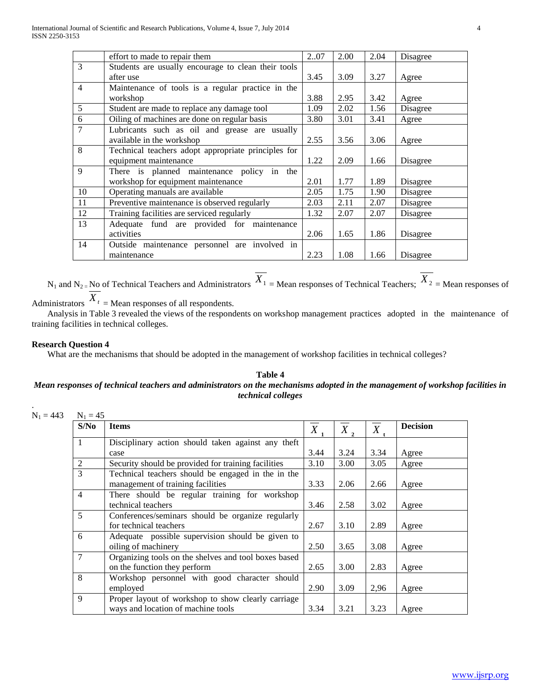|                | effort to made to repair them                       | 207  | 2.00 | 2.04 | Disagree |
|----------------|-----------------------------------------------------|------|------|------|----------|
| 3              | Students are usually encourage to clean their tools |      |      |      |          |
|                | after use                                           | 3.45 | 3.09 | 3.27 | Agree    |
| $\overline{4}$ | Maintenance of tools is a regular practice in the   |      |      |      |          |
|                | workshop                                            | 3.88 | 2.95 | 3.42 | Agree    |
| 5              | Student are made to replace any damage tool         | 1.09 | 2.02 | 1.56 | Disagree |
| 6              | Oiling of machines are done on regular basis        | 3.80 | 3.01 | 3.41 | Agree    |
| $\overline{7}$ | Lubricants such as oil and grease are usually       |      |      |      |          |
|                | available in the workshop                           | 2.55 | 3.56 | 3.06 | Agree    |
| 8              | Technical teachers adopt appropriate principles for |      |      |      |          |
|                | equipment maintenance                               | 1.22 | 2.09 | 1.66 | Disagree |
| 9              | There is planned maintenance policy in the          |      |      |      |          |
|                | workshop for equipment maintenance                  | 2.01 | 1.77 | 1.89 | Disagree |
| 10             | Operating manuals are available                     | 2.05 | 1.75 | 1.90 | Disagree |
| 11             | Preventive maintenance is observed regularly        | 2.03 | 2.11 | 2.07 | Disagree |
| 12             | Training facilities are serviced regularly          | 1.32 | 2.07 | 2.07 | Disagree |
| 13             | Adequate fund are provided for maintenance          |      |      |      |          |
|                | activities                                          | 2.06 | 1.65 | 1.86 | Disagree |
| 14             | Outside maintenance personnel are involved in       |      |      |      |          |
|                | maintenance                                         | 2.23 | 1.08 | 1.66 | Disagree |

 $N_1$  and  $N_2$  = No of Technical Teachers and Administrators  $X_1$  = Mean responses of Technical Teachers;  $X_2$  = Mean responses of Administrators  $X_t$  = Mean responses of all respondents.

 Analysis in Table 3 revealed the views of the respondents on workshop management practices adopted in the maintenance of training facilities in technical colleges.

## **Research Question 4**

.

What are the mechanisms that should be adopted in the management of workshop facilities in technical colleges?

## **Table 4**

## *Mean responses of technical teachers and administrators on the mechanisms adopted in the management of workshop facilities in technical colleges*

| S/No           | <b>Items</b>                                         | $\boldsymbol{X}$ | $X$ , | $\boldsymbol{X}$ | <b>Decision</b> |
|----------------|------------------------------------------------------|------------------|-------|------------------|-----------------|
| 1              | Disciplinary action should taken against any theft   |                  |       |                  |                 |
|                | case                                                 | 3.44             | 3.24  | 3.34             | Agree           |
| 2              | Security should be provided for training facilities  | 3.10             | 3.00  | 3.05             | Agree           |
| 3              | Technical teachers should be engaged in the in the   |                  |       |                  |                 |
|                | management of training facilities                    | 3.33             | 2.06  | 2.66             | Agree           |
| $\overline{4}$ | There should be regular training for workshop        |                  |       |                  |                 |
|                | technical teachers                                   | 3.46             | 2.58  | 3.02             | Agree           |
| 5              | Conferences/seminars should be organize regularly    |                  |       |                  |                 |
|                | for technical teachers                               | 2.67             | 3.10  | 2.89             | Agree           |
| 6              | Adequate possible supervision should be given to     |                  |       |                  |                 |
|                | oiling of machinery                                  | 2.50             | 3.65  | 3.08             | Agree           |
| $\tau$         | Organizing tools on the shelves and tool boxes based |                  |       |                  |                 |
|                | on the function they perform                         | 2.65             | 3.00  | 2.83             | Agree           |
| 8              | Workshop personnel with good character should        |                  |       |                  |                 |
|                | employed                                             | 2.90             | 3.09  | 2,96             | Agree           |
| 9              | Proper layout of workshop to show clearly carriage   |                  |       |                  |                 |
|                | ways and location of machine tools                   | 3.34             | 3.21  | 3.23             | Agree           |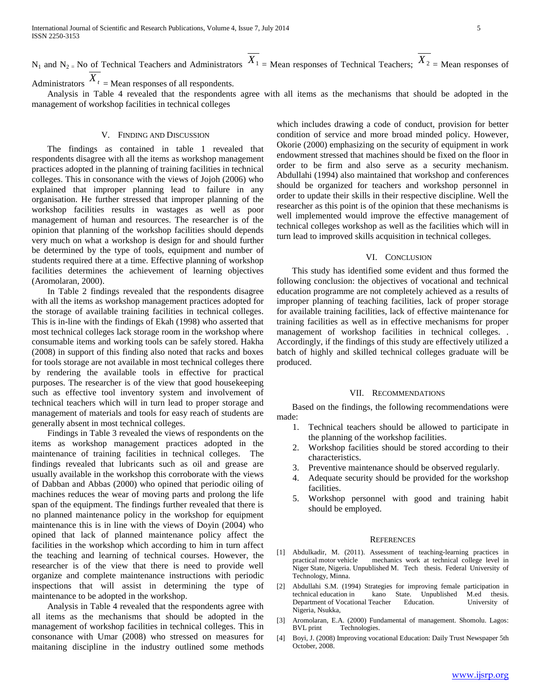$N_1$  and  $N_2$  = No of Technical Teachers and Administrators  $X_1$  = Mean responses of Technical Teachers;  $X_2$  = Mean responses of

Administrators  $X_t$  = Mean responses of all respondents.

 Analysis in Table 4 revealed that the respondents agree with all items as the mechanisms that should be adopted in the management of workshop facilities in technical colleges

#### V. FINDING AND DISCUSSION

 The findings as contained in table 1 revealed that respondents disagree with all the items as workshop management practices adopted in the planning of training facilities in technical colleges. This in consonance with the views of Jojoh (2006) who explained that improper planning lead to failure in any organisation. He further stressed that improper planning of the workshop facilities results in wastages as well as poor management of human and resources. The researcher is of the opinion that planning of the workshop facilities should depends very much on what a workshop is design for and should further be determined by the type of tools, equipment and number of students required there at a time. Effective planning of workshop facilities determines the achievement of learning objectives (Aromolaran, 2000).

 In Table 2 findings revealed that the respondents disagree with all the items as workshop management practices adopted for the storage of available training facilities in technical colleges. This is in-line with the findings of Ekah (1998) who asserted that most technical colleges lack storage room in the workshop where consumable items and working tools can be safely stored. Hakha (2008) in support of this finding also noted that racks and boxes for tools storage are not available in most technical colleges there by rendering the available tools in effective for practical purposes. The researcher is of the view that good housekeeping such as effective tool inventory system and involvement of technical teachers which will in turn lead to proper storage and management of materials and tools for easy reach of students are generally absent in most technical colleges.

 Findings in Table 3 revealed the views of respondents on the items as workshop management practices adopted in the maintenance of training facilities in technical colleges. The findings revealed that lubricants such as oil and grease are usually available in the workshop this corroborate with the views of Dabban and Abbas (2000) who opined that periodic oiling of machines reduces the wear of moving parts and prolong the life span of the equipment. The findings further revealed that there is no planned maintenance policy in the workshop for equipment maintenance this is in line with the views of Doyin (2004) who opined that lack of planned maintenance policy affect the facilities in the workshop which according to him in turn affect the teaching and learning of technical courses. However, the researcher is of the view that there is need to provide well organize and complete maintenance instructions with periodic inspections that will assist in determining the type of maintenance to be adopted in the workshop.

 Analysis in Table 4 revealed that the respondents agree with all items as the mechanisms that should be adopted in the management of workshop facilities in technical colleges. This in consonance with Umar (2008) who stressed on measures for maitaning discipline in the industry outlined some methods which includes drawing a code of conduct, provision for better condition of service and more broad minded policy. However, Okorie (2000) emphasizing on the security of equipment in work endowment stressed that machines should be fixed on the floor in order to be firm and also serve as a security mechanism. Abdullahi (1994) also maintained that workshop and conferences should be organized for teachers and workshop personnel in order to update their skills in their respective discipline. Well the researcher as this point is of the opinion that these mechanisms is well implemented would improve the effective management of technical colleges workshop as well as the facilities which will in turn lead to improved skills acquisition in technical colleges.

## VI. CONCLUSION

 This study has identified some evident and thus formed the following conclusion: the objectives of vocational and technical education programme are not completely achieved as a results of improper planning of teaching facilities, lack of proper storage for available training facilities, lack of effective maintenance for training facilities as well as in effective mechanisms for proper management of workshop facilities in technical colleges. . Accordingly, if the findings of this study are effectively utilized a batch of highly and skilled technical colleges graduate will be produced.

#### VII. RECOMMENDATIONS

 Based on the findings, the following recommendations were made:

- 1. Technical teachers should be allowed to participate in the planning of the workshop facilities.
- 2. Workshop facilities should be stored according to their characteristics.
- 3. Preventive maintenance should be observed regularly.
- 4. Adequate security should be provided for the workshop facilities.
- 5. Workshop personnel with good and training habit should be employed.

## **REFERENCES**

- [1] Abdulkadir, M. (2011). Assessment of teaching-learning practices in practical motor vehicle mechanics work at technical college level in Niger State, Nigeria. Unpublished M. Tech thesis. Federal University of Technology, Minna.
- [2] Abdullahi S.M. (1994) Strategies for improving female participation in technical education in kano State. Unpublished M.ed thesis. Department of Vocational Teacher Education. University of Nigeria, Nsukka,
- [3] Aromolaran, E.A. (2000) Fundamental of management. Shomolu. Lagos: BVL print Technologies.
- [4] Boyi, J. (2008) Improving vocational Education: Daily Trust Newspaper 5th October, 2008.